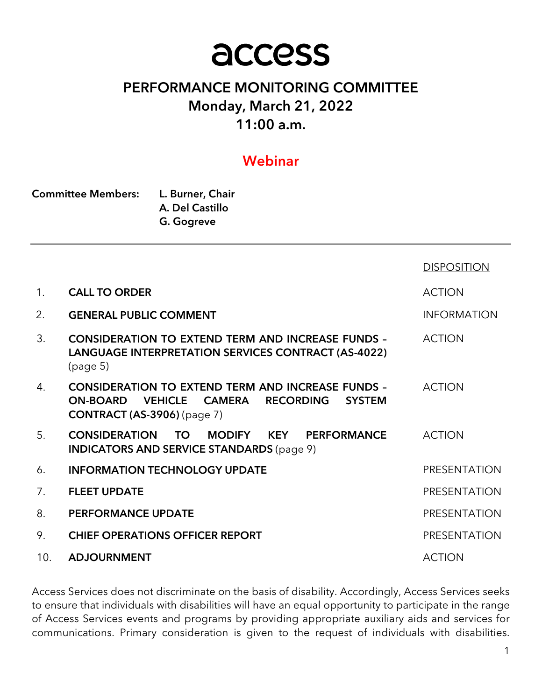# access

# PERFORMANCE MONITORING COMMITTEE Monday, March 21, 2022 11:00 a.m.

## Webinar

| <b>Committee Members:</b> | L. Burner, Chair |  |  |
|---------------------------|------------------|--|--|
|                           | A. Del Castillo  |  |  |
|                           | G. Gogreve       |  |  |

|                |                                                                                                                                                                                           | <b>DISPOSITION</b>  |
|----------------|-------------------------------------------------------------------------------------------------------------------------------------------------------------------------------------------|---------------------|
| $\mathbf{1}$ . | <b>CALL TO ORDER</b>                                                                                                                                                                      | <b>ACTION</b>       |
| 2.             | <b>GENERAL PUBLIC COMMENT</b>                                                                                                                                                             | <b>INFORMATION</b>  |
| 3.             | <b>CONSIDERATION TO EXTEND TERM AND INCREASE FUNDS -</b><br>LANGUAGE INTERPRETATION SERVICES CONTRACT (AS-4022)<br>(page 5)                                                               | <b>ACTION</b>       |
| 4.             | <b>CONSIDERATION TO EXTEND TERM AND INCREASE FUNDS -</b><br><b>VEHICLE</b><br><b>CAMERA</b><br><b>RECORDING</b><br><b>ON-BOARD</b><br><b>SYSTEM</b><br><b>CONTRACT (AS-3906)</b> (page 7) | <b>ACTION</b>       |
| 5.             | <b>CONSIDERATION</b><br><b>MODIFY</b><br><b>KEY PERFORMANCE</b><br>TO.<br><b>INDICATORS AND SERVICE STANDARDS (page 9)</b>                                                                | <b>ACTION</b>       |
| 6.             | <b>INFORMATION TECHNOLOGY UPDATE</b>                                                                                                                                                      | <b>PRESENTATION</b> |
| 7.             | <b>FLEET UPDATE</b>                                                                                                                                                                       | <b>PRESENTATION</b> |
| 8.             | <b>PERFORMANCE UPDATE</b>                                                                                                                                                                 | <b>PRESENTATION</b> |
| 9.             | <b>CHIEF OPERATIONS OFFICER REPORT</b>                                                                                                                                                    | PRESENTATION        |
| 10.            | <b>ADJOURNMENT</b>                                                                                                                                                                        | <b>ACTION</b>       |

Access Services does not discriminate on the basis of disability. Accordingly, Access Services seeks to ensure that individuals with disabilities will have an equal opportunity to participate in the range of Access Services events and programs by providing appropriate auxiliary aids and services for communications. Primary consideration is given to the request of individuals with disabilities.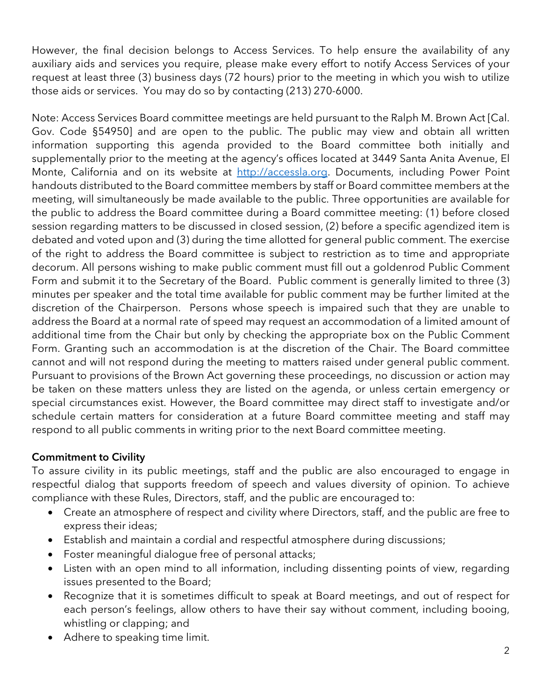However, the final decision belongs to Access Services. To help ensure the availability of any auxiliary aids and services you require, please make every effort to notify Access Services of your request at least three (3) business days (72 hours) prior to the meeting in which you wish to utilize those aids or services. You may do so by contacting (213) 270-6000.

Note: Access Services Board committee meetings are held pursuant to the Ralph M. Brown Act [Cal. Gov. Code §54950] and are open to the public. The public may view and obtain all written information supporting this agenda provided to the Board committee both initially and supplementally prior to the meeting at the agency's offices located at 3449 Santa Anita Avenue, El Monte, California and on its website at http://accessla.org. Documents, including Power Point handouts distributed to the Board committee members by staff or Board committee members at the meeting, will simultaneously be made available to the public. Three opportunities are available for the public to address the Board committee during a Board committee meeting: (1) before closed session regarding matters to be discussed in closed session, (2) before a specific agendized item is debated and voted upon and (3) during the time allotted for general public comment. The exercise of the right to address the Board committee is subject to restriction as to time and appropriate decorum. All persons wishing to make public comment must fill out a goldenrod Public Comment Form and submit it to the Secretary of the Board. Public comment is generally limited to three (3) minutes per speaker and the total time available for public comment may be further limited at the discretion of the Chairperson. Persons whose speech is impaired such that they are unable to address the Board at a normal rate of speed may request an accommodation of a limited amount of additional time from the Chair but only by checking the appropriate box on the Public Comment Form. Granting such an accommodation is at the discretion of the Chair. The Board committee cannot and will not respond during the meeting to matters raised under general public comment. Pursuant to provisions of the Brown Act governing these proceedings, no discussion or action may be taken on these matters unless they are listed on the agenda, or unless certain emergency or special circumstances exist. However, the Board committee may direct staff to investigate and/or schedule certain matters for consideration at a future Board committee meeting and staff may respond to all public comments in writing prior to the next Board committee meeting.

## Commitment to Civility

To assure civility in its public meetings, staff and the public are also encouraged to engage in respectful dialog that supports freedom of speech and values diversity of opinion. To achieve compliance with these Rules, Directors, staff, and the public are encouraged to:

- Create an atmosphere of respect and civility where Directors, staff, and the public are free to express their ideas;
- Establish and maintain a cordial and respectful atmosphere during discussions;
- Foster meaningful dialogue free of personal attacks;
- Listen with an open mind to all information, including dissenting points of view, regarding issues presented to the Board;
- Recognize that it is sometimes difficult to speak at Board meetings, and out of respect for each person's feelings, allow others to have their say without comment, including booing, whistling or clapping; and
- Adhere to speaking time limit.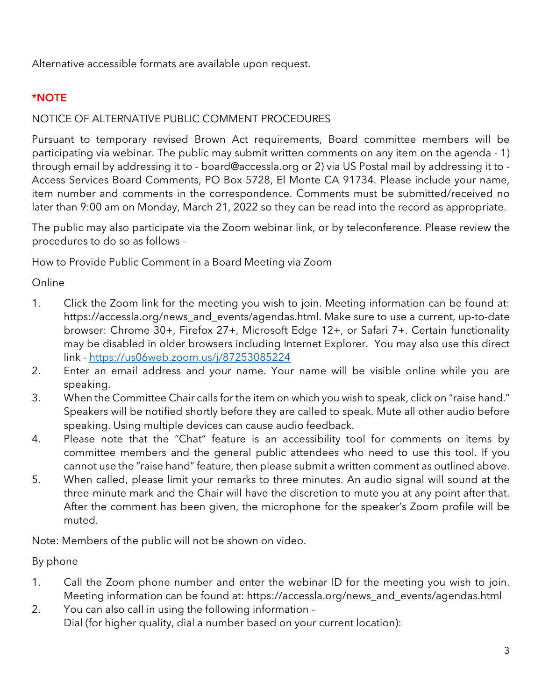Alternative accessible formats are available upon request.

## \*NOTE

## NOTICE OF ALTERNATIVE PUBLIC COMMENT PROCEDURES

Pursuant to temporary revised Brown Act requirements, Board committee members will be participating via webinar. The public may submit written comments on any item on the agenda - 1) through email by addressing it to - board@accessla.org or 2) via US Postal mail by addressing it to - Access Services Board Comments, PO Box 5728, El Monte CA 91734. Please include your name, item number and comments in the correspondence. Comments must be submitted/received no later than 9:00 am on Monday, March 21, 2022 so they can be read into the record as appropriate.

The public may also participate via the Zoom webinar link, or by teleconference. Please review the procedures to do so as follows –

How to Provide Public Comment in a Board Meeting via Zoom

Online

- 1. Click the Zoom link for the meeting you wish to join. Meeting information can be found at: https://accessla.org/news\_and\_events/agendas.html. Make sure to use a current, up-to-date browser: Chrome 30+, Firefox 27+, Microsoft Edge 12+, or Safari 7+. Certain functionality may be disabled in older browsers including Internet Explorer. You may also use this direct link - https://us06web.zoom.us/j/87253085224
- 2. Enter an email address and your name. Your name will be visible online while you are speaking.
- 3. When the Committee Chair calls for the item on which you wish to speak, click on "raise hand." Speakers will be notified shortly before they are called to speak. Mute all other audio before speaking. Using multiple devices can cause audio feedback.
- 4. Please note that the "Chat" feature is an accessibility tool for comments on items by committee members and the general public attendees who need to use this tool. If you cannot use the "raise hand" feature, then please submit a written comment as outlined above.
- 5. When called, please limit your remarks to three minutes. An audio signal will sound at the three-minute mark and the Chair will have the discretion to mute you at any point after that. After the comment has been given, the microphone for the speaker's Zoom profile will be muted.

Note: Members of the public will not be shown on video.

By phone

- 1. Call the Zoom phone number and enter the webinar ID for the meeting you wish to join. Meeting information can be found at: https://accessla.org/news\_and\_events/agendas.html
- 2. You can also call in using the following information Dial (for higher quality, dial a number based on your current location):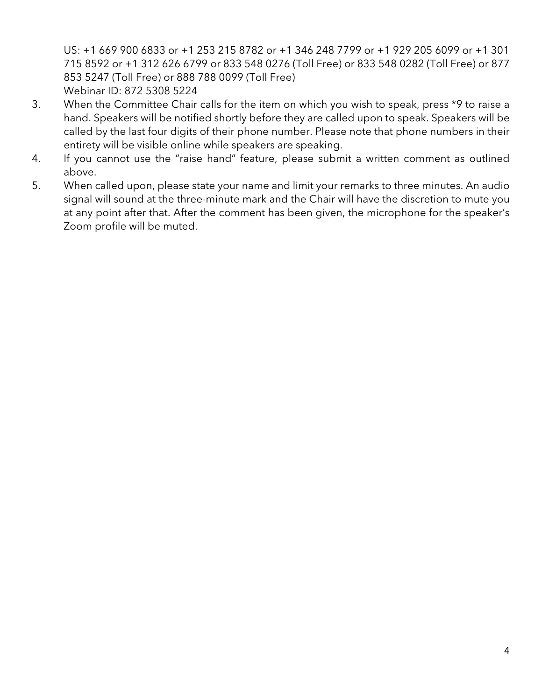US: +1 669 900 6833 or +1 253 215 8782 or +1 346 248 7799 or +1 929 205 6099 or +1 301 715 8592 or +1 312 626 6799 or 833 548 0276 (Toll Free) or 833 548 0282 (Toll Free) or 877 853 5247 (Toll Free) or 888 788 0099 (Toll Free) Webinar ID: 872 5308 5224

- 3. When the Committee Chair calls for the item on which you wish to speak, press \*9 to raise a hand. Speakers will be notified shortly before they are called upon to speak. Speakers will be called by the last four digits of their phone number. Please note that phone numbers in their entirety will be visible online while speakers are speaking.
- 4. If you cannot use the "raise hand" feature, please submit a written comment as outlined above.
- 5. When called upon, please state your name and limit your remarks to three minutes. An audio signal will sound at the three-minute mark and the Chair will have the discretion to mute you at any point after that. After the comment has been given, the microphone for the speaker's Zoom profile will be muted.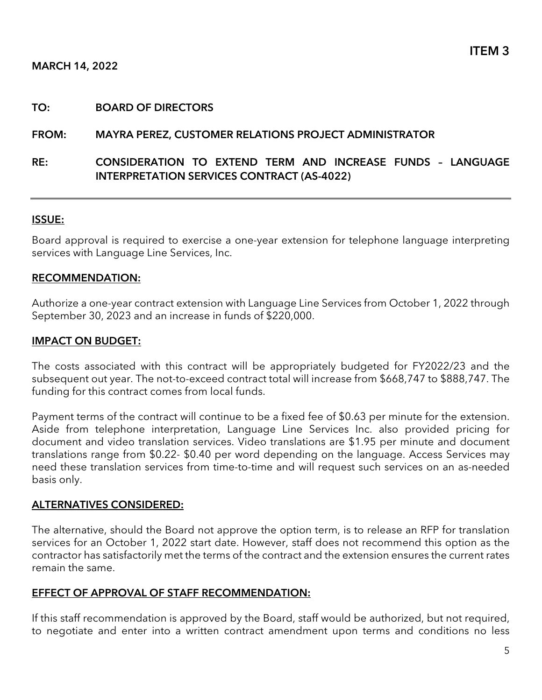#### TO: BOARD OF DIRECTORS

#### FROM: MAYRA PEREZ, CUSTOMER RELATIONS PROJECT ADMINISTRATOR

RE: CONSIDERATION TO EXTEND TERM AND INCREASE FUNDS – LANGUAGE INTERPRETATION SERVICES CONTRACT (AS-4022)

#### ISSUE:

Board approval is required to exercise a one-year extension for telephone language interpreting services with Language Line Services, Inc.

#### RECOMMENDATION:

Authorize a one-year contract extension with Language Line Services from October 1, 2022 through September 30, 2023 and an increase in funds of \$220,000.

#### IMPACT ON BUDGET:

The costs associated with this contract will be appropriately budgeted for FY2022/23 and the subsequent out year. The not-to-exceed contract total will increase from \$668,747 to \$888,747. The funding for this contract comes from local funds.

Payment terms of the contract will continue to be a fixed fee of \$0.63 per minute for the extension. Aside from telephone interpretation, Language Line Services Inc. also provided pricing for document and video translation services. Video translations are \$1.95 per minute and document translations range from \$0.22- \$0.40 per word depending on the language. Access Services may need these translation services from time-to-time and will request such services on an as-needed basis only.

#### ALTERNATIVES CONSIDERED:

The alternative, should the Board not approve the option term, is to release an RFP for translation services for an October 1, 2022 start date. However, staff does not recommend this option as the contractor has satisfactorily met the terms of the contract and the extension ensures the current rates remain the same.

#### EFFECT OF APPROVAL OF STAFF RECOMMENDATION:

If this staff recommendation is approved by the Board, staff would be authorized, but not required, to negotiate and enter into a written contract amendment upon terms and conditions no less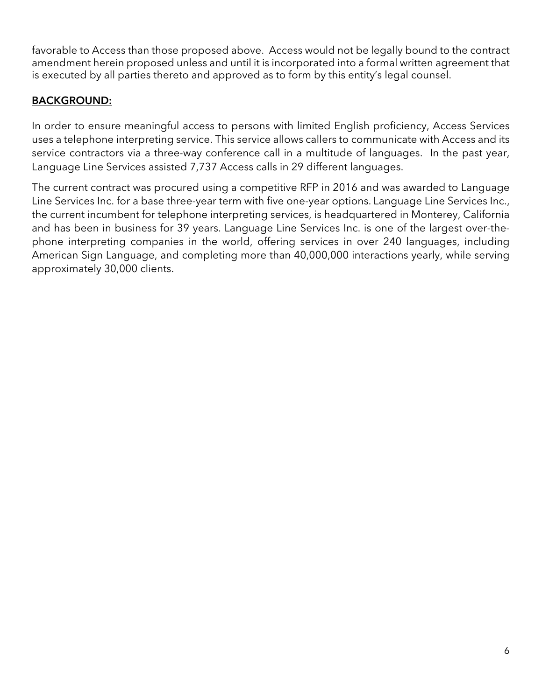favorable to Access than those proposed above. Access would not be legally bound to the contract amendment herein proposed unless and until it is incorporated into a formal written agreement that is executed by all parties thereto and approved as to form by this entity's legal counsel.

## BACKGROUND:

In order to ensure meaningful access to persons with limited English proficiency, Access Services uses a telephone interpreting service. This service allows callers to communicate with Access and its service contractors via a three-way conference call in a multitude of languages. In the past year, Language Line Services assisted 7,737 Access calls in 29 different languages.

The current contract was procured using a competitive RFP in 2016 and was awarded to Language Line Services Inc. for a base three-year term with five one-year options. Language Line Services Inc., the current incumbent for telephone interpreting services, is headquartered in Monterey, California and has been in business for 39 years. Language Line Services Inc. is one of the largest over-thephone interpreting companies in the world, offering services in over 240 languages, including American Sign Language, and completing more than 40,000,000 interactions yearly, while serving approximately 30,000 clients.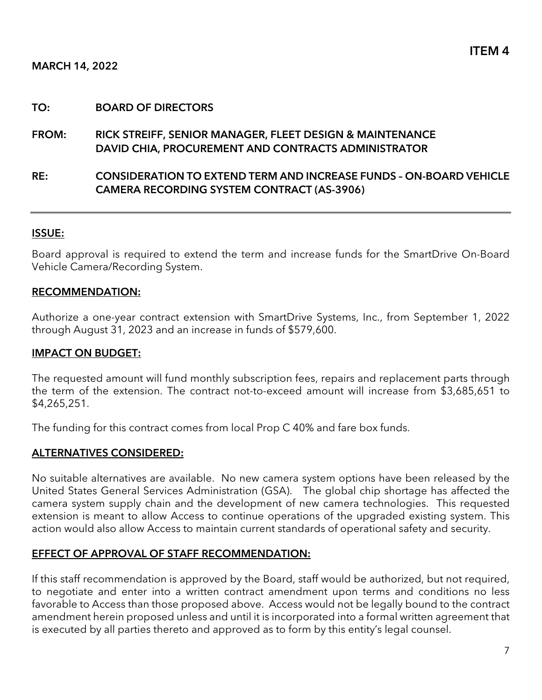#### TO: BOARD OF DIRECTORS

## FROM: RICK STREIFF, SENIOR MANAGER, FLEET DESIGN & MAINTENANCE DAVID CHIA, PROCUREMENT AND CONTRACTS ADMINISTRATOR

RE: CONSIDERATION TO EXTEND TERM AND INCREASE FUNDS – ON-BOARD VEHICLE CAMERA RECORDING SYSTEM CONTRACT (AS-3906)

#### ISSUE:

Board approval is required to extend the term and increase funds for the SmartDrive On-Board Vehicle Camera/Recording System.

#### RECOMMENDATION:

Authorize a one-year contract extension with SmartDrive Systems, Inc., from September 1, 2022 through August 31, 2023 and an increase in funds of \$579,600.

#### IMPACT ON BUDGET:

The requested amount will fund monthly subscription fees, repairs and replacement parts through the term of the extension. The contract not-to-exceed amount will increase from \$3,685,651 to \$4,265,251.

The funding for this contract comes from local Prop C 40% and fare box funds.

#### ALTERNATIVES CONSIDERED:

No suitable alternatives are available. No new camera system options have been released by the United States General Services Administration (GSA). The global chip shortage has affected the camera system supply chain and the development of new camera technologies. This requested extension is meant to allow Access to continue operations of the upgraded existing system. This action would also allow Access to maintain current standards of operational safety and security.

#### EFFECT OF APPROVAL OF STAFF RECOMMENDATION:

If this staff recommendation is approved by the Board, staff would be authorized, but not required, to negotiate and enter into a written contract amendment upon terms and conditions no less favorable to Access than those proposed above. Access would not be legally bound to the contract amendment herein proposed unless and until it is incorporated into a formal written agreement that is executed by all parties thereto and approved as to form by this entity's legal counsel.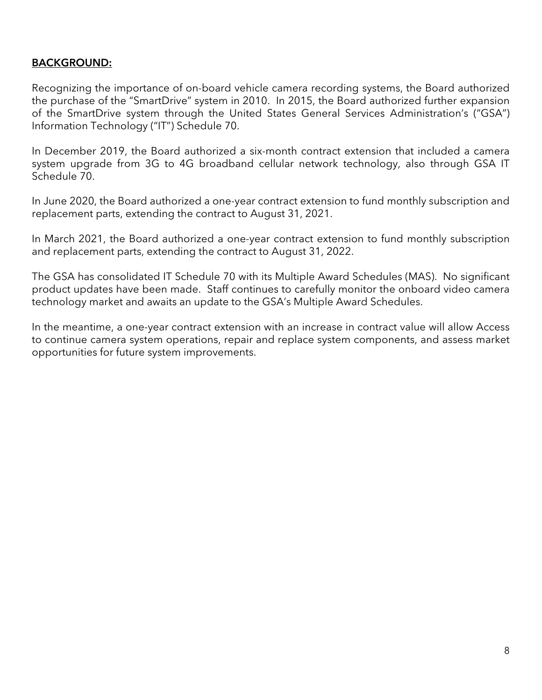## BACKGROUND:

Recognizing the importance of on-board vehicle camera recording systems, the Board authorized the purchase of the "SmartDrive" system in 2010. In 2015, the Board authorized further expansion of the SmartDrive system through the United States General Services Administration's ("GSA") Information Technology ("IT") Schedule 70.

In December 2019, the Board authorized a six-month contract extension that included a camera system upgrade from 3G to 4G broadband cellular network technology, also through GSA IT Schedule 70.

In June 2020, the Board authorized a one-year contract extension to fund monthly subscription and replacement parts, extending the contract to August 31, 2021.

In March 2021, the Board authorized a one-year contract extension to fund monthly subscription and replacement parts, extending the contract to August 31, 2022.

The GSA has consolidated IT Schedule 70 with its Multiple Award Schedules (MAS). No significant product updates have been made. Staff continues to carefully monitor the onboard video camera technology market and awaits an update to the GSA's Multiple Award Schedules.

In the meantime, a one-year contract extension with an increase in contract value will allow Access to continue camera system operations, repair and replace system components, and assess market opportunities for future system improvements.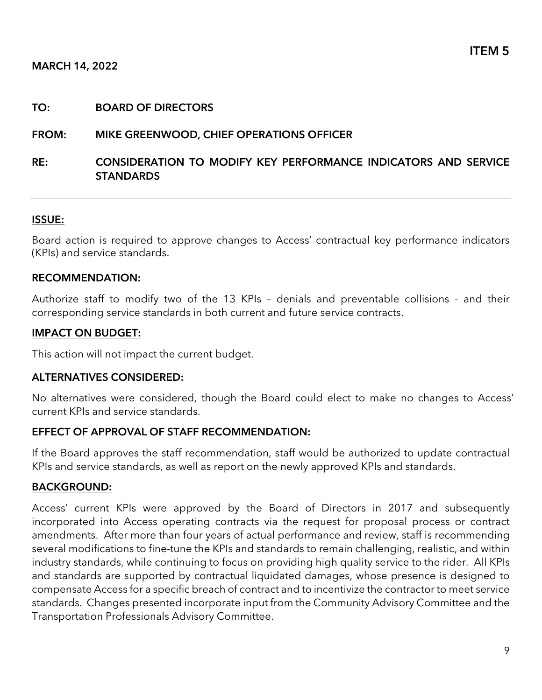#### TO: BOARD OF DIRECTORS

#### FROM: MIKE GREENWOOD, CHIEF OPERATIONS OFFICER

### RE: CONSIDERATION TO MODIFY KEY PERFORMANCE INDICATORS AND SERVICE **STANDARDS**

#### ISSUE:

Board action is required to approve changes to Access' contractual key performance indicators (KPIs) and service standards.

#### RECOMMENDATION:

Authorize staff to modify two of the 13 KPIs – denials and preventable collisions - and their corresponding service standards in both current and future service contracts.

#### IMPACT ON BUDGET:

This action will not impact the current budget.

#### ALTERNATIVES CONSIDERED:

No alternatives were considered, though the Board could elect to make no changes to Access' current KPIs and service standards.

#### EFFECT OF APPROVAL OF STAFF RECOMMENDATION:

If the Board approves the staff recommendation, staff would be authorized to update contractual KPIs and service standards, as well as report on the newly approved KPIs and standards.

#### BACKGROUND:

Access' current KPIs were approved by the Board of Directors in 2017 and subsequently incorporated into Access operating contracts via the request for proposal process or contract amendments. After more than four years of actual performance and review, staff is recommending several modifications to fine-tune the KPIs and standards to remain challenging, realistic, and within industry standards, while continuing to focus on providing high quality service to the rider. All KPIs and standards are supported by contractual liquidated damages, whose presence is designed to compensate Access for a specific breach of contract and to incentivize the contractor to meet service standards. Changes presented incorporate input from the Community Advisory Committee and the Transportation Professionals Advisory Committee.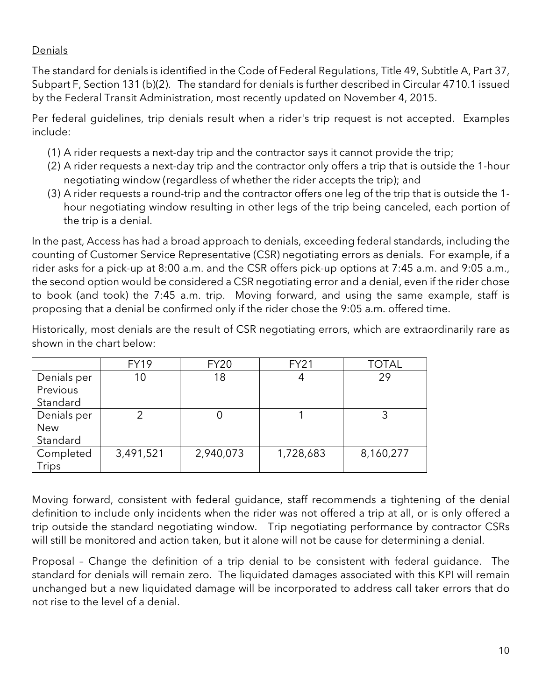## Denials

The standard for denials is identified in the Code of Federal Regulations, Title 49, Subtitle A, Part 37, Subpart F, Section 131 (b)(2). The standard for denials is further described in Circular 4710.1 issued by the Federal Transit Administration, most recently updated on November 4, 2015.

Per federal guidelines, trip denials result when a rider's trip request is not accepted. Examples include:

- (1) A rider requests a next-day trip and the contractor says it cannot provide the trip;
- (2) A rider requests a next-day trip and the contractor only offers a trip that is outside the 1-hour negotiating window (regardless of whether the rider accepts the trip); and
- (3) A rider requests a round-trip and the contractor offers one leg of the trip that is outside the 1 hour negotiating window resulting in other legs of the trip being canceled, each portion of the trip is a denial.

In the past, Access has had a broad approach to denials, exceeding federal standards, including the counting of Customer Service Representative (CSR) negotiating errors as denials. For example, if a rider asks for a pick-up at 8:00 a.m. and the CSR offers pick-up options at 7:45 a.m. and 9:05 a.m., the second option would be considered a CSR negotiating error and a denial, even if the rider chose to book (and took) the 7:45 a.m. trip. Moving forward, and using the same example, staff is proposing that a denial be confirmed only if the rider chose the 9:05 a.m. offered time.

Historically, most denials are the result of CSR negotiating errors, which are extraordinarily rare as shown in the chart below:

|             | <b>FY19</b> | <b>FY20</b> | <b>FY21</b> | <b>TOTAL</b> |  |
|-------------|-------------|-------------|-------------|--------------|--|
| Denials per | 10          | 18          |             | 29           |  |
| Previous    |             |             |             |              |  |
| Standard    |             |             |             |              |  |
| Denials per | ⌒           |             |             |              |  |
| <b>New</b>  |             |             |             |              |  |
| Standard    |             |             |             |              |  |
| Completed   | 3,491,521   | 2,940,073   | 1,728,683   | 8,160,277    |  |
| Trips       |             |             |             |              |  |

Moving forward, consistent with federal guidance, staff recommends a tightening of the denial definition to include only incidents when the rider was not offered a trip at all, or is only offered a trip outside the standard negotiating window. Trip negotiating performance by contractor CSRs will still be monitored and action taken, but it alone will not be cause for determining a denial.

Proposal – Change the definition of a trip denial to be consistent with federal guidance. The standard for denials will remain zero. The liquidated damages associated with this KPI will remain unchanged but a new liquidated damage will be incorporated to address call taker errors that do not rise to the level of a denial.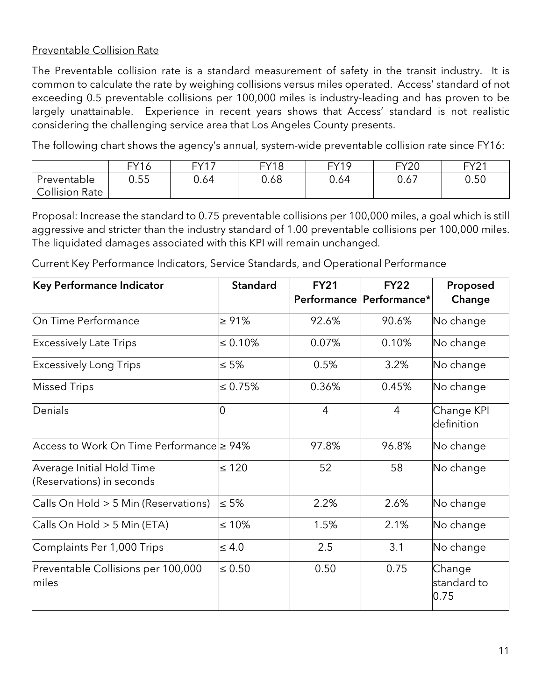## Preventable Collision Rate

The Preventable collision rate is a standard measurement of safety in the transit industry. It is common to calculate the rate by weighing collisions versus miles operated. Access' standard of not exceeding 0.5 preventable collisions per 100,000 miles is industry-leading and has proven to be largely unattainable. Experience in recent years shows that Access' standard is not realistic considering the challenging service area that Los Angeles County presents.

The following chart shows the agency's annual, system-wide preventable collision rate since FY16:

|                       | <b>FY16</b> | EVI7 | <b>FY18</b> | FY19 | <b>FY20</b>                  | EV21<br>$\angle$ |
|-----------------------|-------------|------|-------------|------|------------------------------|------------------|
| Preventable           | 0.55        | 0.64 | 0.68        | 0.64 | $\sim$ $\sim$ $\sim$<br>0.67 | 0.50             |
| <b>Collision Rate</b> |             |      |             |      |                              |                  |

Proposal: Increase the standard to 0.75 preventable collisions per 100,000 miles, a goal which is still aggressive and stricter than the industry standard of 1.00 preventable collisions per 100,000 miles. The liquidated damages associated with this KPI will remain unchanged.

Current Key Performance Indicators, Service Standards, and Operational Performance

| Key Performance Indicator                              | <b>Standard</b> | <b>FY21</b>    | <b>FY22</b>              | Proposed                      |
|--------------------------------------------------------|-----------------|----------------|--------------------------|-------------------------------|
|                                                        |                 |                | Performance Performance* | Change                        |
| On Time Performance                                    | $\ge 91\%$      | 92.6%          | 90.6%                    | No change                     |
| <b>Excessively Late Trips</b>                          | $\leq 0.10\%$   | 0.07%          | 0.10%                    | No change                     |
| <b>Excessively Long Trips</b>                          | $\leq 5\%$      | 0.5%           | 3.2%                     | No change                     |
| <b>Missed Trips</b>                                    | $\leq 0.75\%$   | 0.36%          | 0.45%                    | No change                     |
| Denials                                                | 0               | $\overline{4}$ | $\overline{4}$           | Change KPI<br>definition      |
| Access to Work On Time Performance ≥ 94%               |                 | 97.8%          | 96.8%                    | No change                     |
| Average Initial Hold Time<br>(Reservations) in seconds | $\leq 120$      | 52             | 58                       | No change                     |
| Calls On Hold > 5 Min (Reservations)                   | $\leq 5\%$      | 2.2%           | 2.6%                     | No change                     |
| Calls On Hold > 5 Min (ETA)                            | $\leq 10\%$     | 1.5%           | 2.1%                     | No change                     |
| Complaints Per 1,000 Trips                             | $\leq 4.0$      | 2.5            | 3.1                      | No change                     |
| Preventable Collisions per 100,000<br>miles            | $\leq 0.50$     | 0.50           | 0.75                     | Change<br>standard to<br>0.75 |